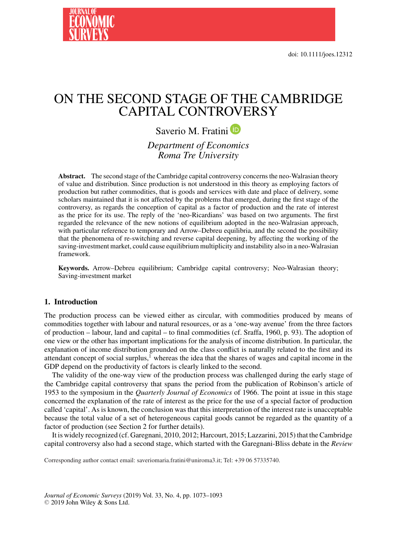

# ON THE SECOND STAGE OF THE CAMBRIDGE CAPITAL CONTROVERSY

Saverio M. Fratini<sup>D</sup>

*Department of Economics Roma Tre University*

**Abstract.** The second stage of the Cambridge capital controversy concerns the neo-Walrasian theory of value and distribution. Since production is not understood in this theory as employing factors of production but rather commodities, that is goods and services with date and place of delivery, some scholars maintained that it is not affected by the problems that emerged, during the first stage of the controversy, as regards the conception of capital as a factor of production and the rate of interest as the price for its use. The reply of the 'neo-Ricardians' was based on two arguments. The first regarded the relevance of the new notions of equilibrium adopted in the neo-Walrasian approach, with particular reference to temporary and Arrow–Debreu equilibria, and the second the possibility that the phenomena of re-switching and reverse capital deepening, by affecting the working of the saving-investment market, could cause equilibrium multiplicity and instability also in a neo-Walrasian framework.

**Keywords.** Arrow–Debreu equilibrium; Cambridge capital controversy; Neo-Walrasian theory; Saving-investment market

# **1. Introduction**

The production process can be viewed either as circular, with commodities produced by means of commodities together with labour and natural resources, or as a 'one-way avenue' from the three factors of production – labour, land and capital – to final commodities (cf. Sraffa, 1960, p. 93). The adoption of one view or the other has important implications for the analysis of income distribution. In particular, the explanation of income distribution grounded on the class conflict is naturally related to the first and its attendant concept of social surplus, $<sup>1</sup>$  whereas the idea that the shares of wages and capital income in the</sup> GDP depend on the productivity of factors is clearly linked to the second.

The validity of the one-way view of the production process was challenged during the early stage of the Cambridge capital controversy that spans the period from the publication of Robinson's article of 1953 to the symposium in the *Quarterly Journal of Economics* of 1966. The point at issue in this stage concerned the explanation of the rate of interest as the price for the use of a special factor of production called 'capital'. As is known, the conclusion was that this interpretation of the interest rate is unacceptable because the total value of a set of heterogeneous capital goods cannot be regarded as the quantity of a factor of production (see Section 2 for further details).

It is widely recognized (cf. Garegnani, 2010, 2012; Harcourt, 2015; Lazzarini, 2015) that the Cambridge capital controversy also had a second stage, which started with the Garegnani-Bliss debate in the *Review*

Corresponding author contact email: saveriomaria.fratini@uniroma3.it; Tel: +39 06 57335740.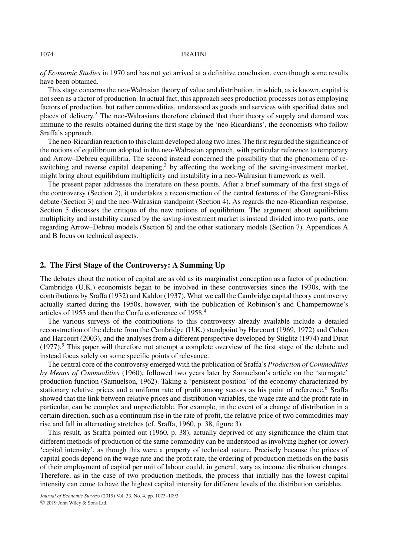*of Economic Studies* in 1970 and has not yet arrived at a definitive conclusion, even though some results have been obtained.

This stage concerns the neo-Walrasian theory of value and distribution, in which, as is known, capital is not seen as a factor of production. In actual fact, this approach sees production processes not as employing factors of production, but rather commodities, understood as goods and services with specified dates and places of delivery.<sup>2</sup> The neo-Walrasians therefore claimed that their theory of supply and demand was immune to the results obtained during the first stage by the 'neo-Ricardians', the economists who follow Sraffa's approach.

The neo-Ricardian reaction to this claim developed along two lines. The first regarded the significance of the notions of equilibrium adopted in the neo-Walrasian approach, with particular reference to temporary and Arrow–Debreu equilibria. The second instead concerned the possibility that the phenomena of reswitching and reverse capital deepening,<sup>3</sup> by affecting the working of the saving-investment market, might bring about equilibrium multiplicity and instability in a neo-Walrasian framework as well.

The present paper addresses the literature on these points. After a brief summary of the first stage of the controversy (Section 2), it undertakes a reconstruction of the central features of the Garegnani-Bliss debate (Section 3) and the neo-Walrasian standpoint (Section 4). As regards the neo-Ricardian response, Section 5 discusses the critique of the new notions of equilibrium. The argument about equilibrium multiplicity and instability caused by the saving-investment market is instead divided into two parts, one regarding Arrow–Debreu models (Section 6) and the other stationary models (Section 7). Appendices A and B focus on technical aspects.

# **2. The First Stage of the Controversy: A Summing Up**

The debates about the notion of capital are as old as its marginalist conception as a factor of production. Cambridge (U.K.) economists began to be involved in these controversies since the 1930s, with the contributions by Sraffa (1932) and Kaldor (1937). What we call the Cambridge capital theory controversy actually started during the 1950s, however, with the publication of Robinson's and Champernowne's articles of 1953 and then the Corfu conference of 1958.4

The various surveys of the contributions to this controversy already available include a detailed reconstruction of the debate from the Cambridge (U.K.) standpoint by Harcourt (1969, 1972) and Cohen and Harcourt (2003), and the analyses from a different perspective developed by Stiglitz (1974) and Dixit (1977).5 This paper will therefore not attempt a complete overview of the first stage of the debate and instead focus solely on some specific points of relevance.

The central core of the controversy emerged with the publication of Sraffa's *Production of Commodities by Means of Commodities* (1960), followed two years later by Samuelson's article on the 'surrogate' production function (Samuelson, 1962). Taking a 'persistent position' of the economy characterized by stationary relative prices and a uniform rate of profit among sectors as his point of reference, $6$  Sraffa showed that the link between relative prices and distribution variables, the wage rate and the profit rate in particular, can be complex and unpredictable. For example, in the event of a change of distribution in a certain direction, such as a continuum rise in the rate of profit, the relative price of two commodities may rise and fall in alternating stretches (cf. Sraffa, 1960, p. 38, figure 3).

This result, as Sraffa pointed out (1960, p. 38), actually deprived of any significance the claim that different methods of production of the same commodity can be understood as involving higher (or lower) 'capital intensity', as though this were a property of technical nature. Precisely because the prices of capital goods depend on the wage rate and the profit rate, the ordering of production methods on the basis of their employment of capital per unit of labour could, in general, vary as income distribution changes. Therefore, as in the case of two production methods, the process that initially has the lowest capital intensity can come to have the highest capital intensity for different levels of the distribution variables.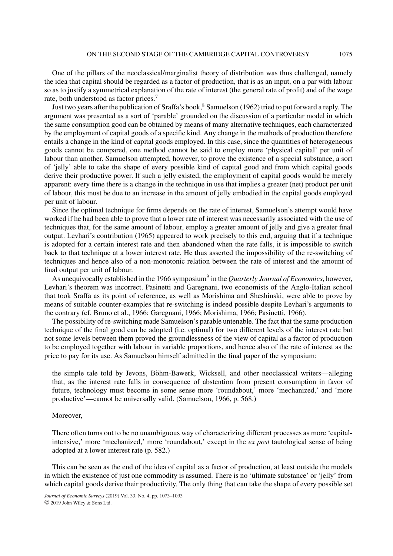One of the pillars of the neoclassical/marginalist theory of distribution was thus challenged, namely the idea that capital should be regarded as a factor of production, that is as an input, on a par with labour so as to justify a symmetrical explanation of the rate of interest (the general rate of profit) and of the wage rate, both understood as factor prices.<sup>7</sup>

Just two years after the publication of Sraffa's book,<sup>8</sup> Samuelson (1962) tried to put forward a reply. The argument was presented as a sort of 'parable' grounded on the discussion of a particular model in which the same consumption good can be obtained by means of many alternative techniques, each characterized by the employment of capital goods of a specific kind. Any change in the methods of production therefore entails a change in the kind of capital goods employed. In this case, since the quantities of heterogeneous goods cannot be compared, one method cannot be said to employ more 'physical capital' per unit of labour than another. Samuelson attempted, however, to prove the existence of a special substance, a sort of 'jelly' able to take the shape of every possible kind of capital good and from which capital goods derive their productive power. If such a jelly existed, the employment of capital goods would be merely apparent: every time there is a change in the technique in use that implies a greater (net) product per unit of labour, this must be due to an increase in the amount of jelly embodied in the capital goods employed per unit of labour.

Since the optimal technique for firms depends on the rate of interest, Samuelson's attempt would have worked if he had been able to prove that a lower rate of interest was necessarily associated with the use of techniques that, for the same amount of labour, employ a greater amount of jelly and give a greater final output. Levhari's contribution (1965) appeared to work precisely to this end, arguing that if a technique is adopted for a certain interest rate and then abandoned when the rate falls, it is impossible to switch back to that technique at a lower interest rate. He thus asserted the impossibility of the re-switching of techniques and hence also of a non-monotonic relation between the rate of interest and the amount of final output per unit of labour.

As unequivocally established in the 1966 symposium<sup>9</sup> in the *Quarterly Journal of Economics*, however, Levhari's theorem was incorrect. Pasinetti and Garegnani, two economists of the Anglo-Italian school that took Sraffa as its point of reference, as well as Morishima and Sheshinski, were able to prove by means of suitable counter-examples that re-switching is indeed possible despite Levhari's arguments to the contrary (cf. Bruno et al., 1966; Garegnani, 1966; Morishima, 1966; Pasinetti, 1966).

The possibility of re-switching made Samuelson's parable untenable. The fact that the same production technique of the final good can be adopted (i.e. optimal) for two different levels of the interest rate but not some levels between them proved the groundlessness of the view of capital as a factor of production to be employed together with labour in variable proportions, and hence also of the rate of interest as the price to pay for its use. As Samuelson himself admitted in the final paper of the symposium:

the simple tale told by Jevons, Böhm-Bawerk, Wicksell, and other neoclassical writers—alleging that, as the interest rate falls in consequence of abstention from present consumption in favor of future, technology must become in some sense more 'roundabout,' more 'mechanized,' and 'more productive'—cannot be universally valid. (Samuelson, 1966, p. 568.)

# Moreover,

There often turns out to be no unambiguous way of characterizing different processes as more 'capitalintensive,' more 'mechanized,' more 'roundabout,' except in the *ex post* tautological sense of being adopted at a lower interest rate (p. 582.)

This can be seen as the end of the idea of capital as a factor of production, at least outside the models in which the existence of just one commodity is assumed. There is no 'ultimate substance' or 'jelly' from which capital goods derive their productivity. The only thing that can take the shape of every possible set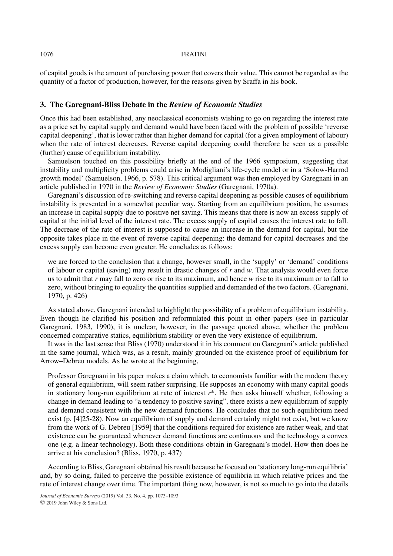of capital goods is the amount of purchasing power that covers their value. This cannot be regarded as the quantity of a factor of production, however, for the reasons given by Sraffa in his book.

# **3. The Garegnani-Bliss Debate in the** *Review of Economic Studies*

Once this had been established, any neoclassical economists wishing to go on regarding the interest rate as a price set by capital supply and demand would have been faced with the problem of possible 'reverse capital deepening', that is lower rather than higher demand for capital (for a given employment of labour) when the rate of interest decreases. Reverse capital deepening could therefore be seen as a possible (further) cause of equilibrium instability.

Samuelson touched on this possibility briefly at the end of the 1966 symposium, suggesting that instability and multiplicity problems could arise in Modigliani's life-cycle model or in a 'Solow-Harrod growth model' (Samuelson, 1966, p. 578). This critical argument was then employed by Garegnani in an article published in 1970 in the *Review of Economic Studies* (Garegnani, 1970a).

Garegnani's discussion of re-switching and reverse capital deepening as possible causes of equilibrium instability is presented in a somewhat peculiar way. Starting from an equilibrium position, he assumes an increase in capital supply due to positive net saving. This means that there is now an excess supply of capital at the initial level of the interest rate. The excess supply of capital causes the interest rate to fall. The decrease of the rate of interest is supposed to cause an increase in the demand for capital, but the opposite takes place in the event of reverse capital deepening: the demand for capital decreases and the excess supply can become even greater. He concludes as follows:

we are forced to the conclusion that a change, however small, in the 'supply' or 'demand' conditions of labour or capital (saving) may result in drastic changes of *r* and *w*. That analysis would even force us to admit that *r* may fall to zero or rise to its maximum, and hence *w* rise to its maximum or to fall to zero, without bringing to equality the quantities supplied and demanded of the two factors. (Garegnani, 1970, p. 426)

As stated above, Garegnani intended to highlight the possibility of a problem of equilibrium instability. Even though he clarified his position and reformulated this point in other papers (see in particular Garegnani, 1983, 1990), it is unclear, however, in the passage quoted above, whether the problem concerned comparative statics, equilibrium stability or even the very existence of equilibrium.

It was in the last sense that Bliss (1970) understood it in his comment on Garegnani's article published in the same journal, which was, as a result, mainly grounded on the existence proof of equilibrium for Arrow–Debreu models. As he wrote at the beginning,

Professor Garegnani in his paper makes a claim which, to economists familiar with the modern theory of general equilibrium, will seem rather surprising. He supposes an economy with many capital goods in stationary long-run equilibrium at rate of interest *r*\*. He then asks himself whether, following a change in demand leading to "a tendency to positive saving", there exists a new equilibrium of supply and demand consistent with the new demand functions. He concludes that no such equilibrium need exist (p. [4]25-28). Now an equilibrium of supply and demand certainly might not exist, but we know from the work of G. Debreu [1959] that the conditions required for existence are rather weak, and that existence can be guaranteed whenever demand functions are continuous and the technology a convex one (e.g. a linear technology). Both these conditions obtain in Garegnani's model. How then does he arrive at his conclusion? (Bliss, 1970, p. 437)

According to Bliss, Garegnani obtained his result because he focused on 'stationary long-run equilibria' and, by so doing, failed to perceive the possible existence of equilibria in which relative prices and the rate of interest change over time. The important thing now, however, is not so much to go into the details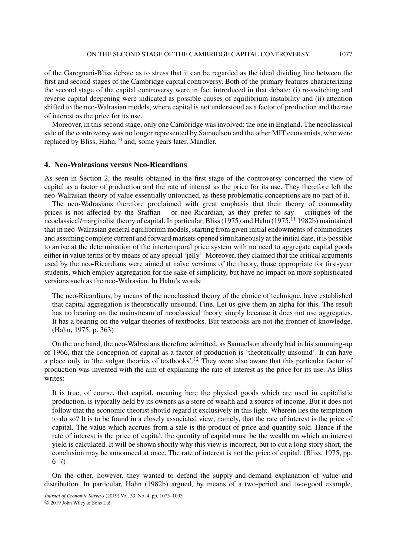of the Garegnani-Bliss debate as to stress that it can be regarded as the ideal dividing line between the first and second stages of the Cambridge capital controversy. Both of the primary features characterizing the second stage of the capital controversy were in fact introduced in that debate: (i) re-switching and reverse capital deepening were indicated as possible causes of equilibrium instability and (ii) attention shifted to the neo-Walrasian models, where capital is not understood as a factor of production and the rate of interest as the price for its use.

Moreover, in this second stage, only one Cambridge was involved: the one in England. The neoclassical side of the controversy was no longer represented by Samuelson and the other MIT economists, who were replaced by Bliss, Hahn,<sup>10</sup> and, some years later, Mandler.

# **4. Neo-Walrasians versus Neo-Ricardians**

As seen in Section 2, the results obtained in the first stage of the controversy concerned the view of capital as a factor of production and the rate of interest as the price for its use. They therefore left the neo-Walrasian theory of value essentially untouched, as these problematic conceptions are no part of it.

The neo-Walrasians therefore proclaimed with great emphasis that their theory of commodity prices is not affected by the Sraffian – or neo-Ricardian, as they prefer to say – critiques of the neoclassical/marginalist theory of capital. In particular, Bliss (1975) and Hahn (1975, <sup>11</sup> 1982b) maintained that in neo-Walrasian general equilibrium models, starting from given initial endowments of commodities and assuming complete current and forward markets opened simultaneously at the initial date, it is possible to arrive at the determination of the intertemporal price system with no need to aggregate capital goods either in value terms or by means of any special 'jelly'. Moreover, they claimed that the critical arguments used by the neo-Ricardians were aimed at naïve versions of the theory, those appropriate for first-year students, which employ aggregation for the sake of simplicity, but have no impact on more sophisticated versions such as the neo-Walrasian. In Hahn's words:

The neo-Ricardians, by means of the neoclassical theory of the choice of technique, have established that capital aggregation is theoretically unsound. Fine. Let us give them an alpha for this. The result has no bearing on the mainstream of neoclassical theory simply because it does not use aggregates. It has a bearing on the vulgar theories of textbooks. But textbooks are not the frontier of knowledge. (Hahn, 1975, p. 363)

On the one hand, the neo-Walrasians therefore admitted, as Samuelson already had in his summing-up of 1966, that the conception of capital as a factor of production is 'theoretically unsound'. It can have a place only in 'the vulgar theories of textbooks'.<sup>12</sup> They were also aware that this particular factor of production was invented with the aim of explaining the rate of interest as the price for its use. As Bliss writes:

It is true, of course, that capital, meaning here the physical goods which are used in capitalistic production, is typically held by its owners as a store of wealth and a source of income. But it does not follow that the economic theorist should regard it exclusively in this light. Wherein lies the temptation to do so? It is to be found in a closely associated view; namely, that the rate of interest is the price of capital. The value which accrues from a sale is the product of price and quantity sold. Hence if the rate of interest is the price of capital, the quantity of capital must be the wealth on which an interest yield is calculated. It will be shown shortly why this view is incorrect, but to cut a long story short, the conclusion may be announced at once. The rate of interest is not the price of capital. (Bliss, 1975, pp. 6–7)

On the other, however, they wanted to defend the supply-and-demand explanation of value and distribution. In particular, Hahn (1982b) argued, by means of a two-period and two-good example,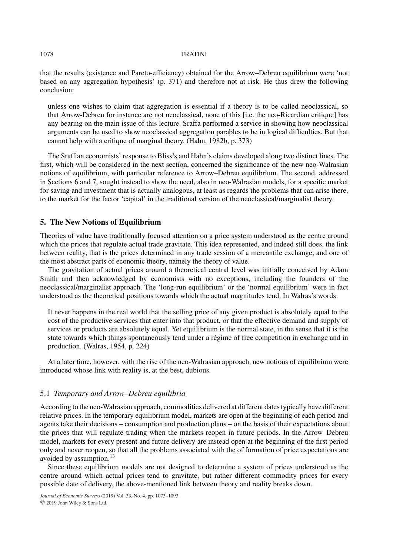that the results (existence and Pareto-efficiency) obtained for the Arrow–Debreu equilibrium were 'not based on any aggregation hypothesis' (p. 371) and therefore not at risk. He thus drew the following conclusion:

unless one wishes to claim that aggregation is essential if a theory is to be called neoclassical, so that Arrow-Debreu for instance are not neoclassical, none of this [i.e. the neo-Ricardian critique] has any bearing on the main issue of this lecture. Sraffa performed a service in showing how neoclassical arguments can be used to show neoclassical aggregation parables to be in logical difficulties. But that cannot help with a critique of marginal theory. (Hahn, 1982b, p. 373)

The Sraffian economists' response to Bliss's and Hahn's claims developed along two distinct lines. The first, which will be considered in the next section, concerned the significance of the new neo-Walrasian notions of equilibrium, with particular reference to Arrow–Debreu equilibrium. The second, addressed in Sections 6 and 7, sought instead to show the need, also in neo-Walrasian models, for a specific market for saving and investment that is actually analogous, at least as regards the problems that can arise there, to the market for the factor 'capital' in the traditional version of the neoclassical/marginalist theory.

# **5. The New Notions of Equilibrium**

Theories of value have traditionally focused attention on a price system understood as the centre around which the prices that regulate actual trade gravitate. This idea represented, and indeed still does, the link between reality, that is the prices determined in any trade session of a mercantile exchange, and one of the most abstract parts of economic theory, namely the theory of value.

The gravitation of actual prices around a theoretical central level was initially conceived by Adam Smith and then acknowledged by economists with no exceptions, including the founders of the neoclassical/marginalist approach. The 'long-run equilibrium' or the 'normal equilibrium' were in fact understood as the theoretical positions towards which the actual magnitudes tend. In Walras's words:

It never happens in the real world that the selling price of any given product is absolutely equal to the cost of the productive services that enter into that product, or that the effective demand and supply of services or products are absolutely equal. Yet equilibrium is the normal state, in the sense that it is the state towards which things spontaneously tend under a regime of free competition in exchange and in ´ production. (Walras, 1954, p. 224)

At a later time, however, with the rise of the neo-Walrasian approach, new notions of equilibrium were introduced whose link with reality is, at the best, dubious.

# 5.1 *Temporary and Arrow–Debreu equilibria*

According to the neo-Walrasian approach, commodities delivered at different dates typically have different relative prices. In the temporary equilibrium model, markets are open at the beginning of each period and agents take their decisions – consumption and production plans – on the basis of their expectations about the prices that will regulate trading when the markets reopen in future periods. In the Arrow–Debreu model, markets for every present and future delivery are instead open at the beginning of the first period only and never reopen, so that all the problems associated with the of formation of price expectations are avoided by assumption.<sup>13</sup>

Since these equilibrium models are not designed to determine a system of prices understood as the centre around which actual prices tend to gravitate, but rather different commodity prices for every possible date of delivery, the above-mentioned link between theory and reality breaks down.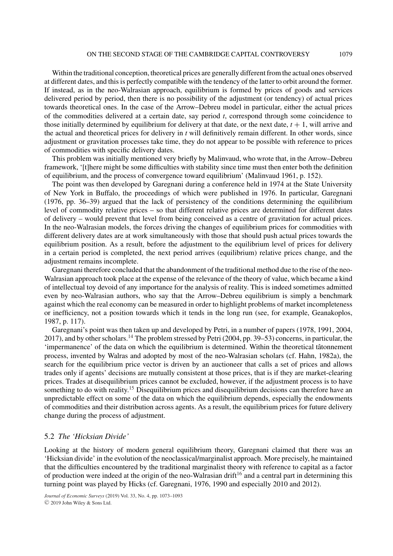Within the traditional conception, theoretical prices are generally different from the actual ones observed at different dates, and this is perfectly compatible with the tendency of the latter to orbit around the former. If instead, as in the neo-Walrasian approach, equilibrium is formed by prices of goods and services delivered period by period, then there is no possibility of the adjustment (or tendency) of actual prices towards theoretical ones. In the case of the Arrow–Debreu model in particular, either the actual prices of the commodities delivered at a certain date, say period *t*, correspond through some coincidence to those initially determined by equilibrium for delivery at that date, or the next date,  $t + 1$ , will arrive and the actual and theoretical prices for delivery in *t* will definitively remain different. In other words, since adjustment or gravitation processes take time, they do not appear to be possible with reference to prices of commodities with specific delivery dates.

This problem was initially mentioned very briefly by Malinvaud, who wrote that, in the Arrow–Debreu framework, '[t]here might be some difficulties with stability since time must then enter both the definition of equilibrium, and the process of convergence toward equilibrium' (Malinvaud 1961, p. 152).

The point was then developed by Garegnani during a conference held in 1974 at the State University of New York in Buffalo, the proceedings of which were published in 1976. In particular, Garegnani (1976, pp. 36–39) argued that the lack of persistency of the conditions determining the equilibrium level of commodity relative prices – so that different relative prices are determined for different dates of delivery – would prevent that level from being conceived as a centre of gravitation for actual prices. In the neo-Walrasian models, the forces driving the changes of equilibrium prices for commodities with different delivery dates are at work simultaneously with those that should push actual prices towards the equilibrium position. As a result, before the adjustment to the equilibrium level of prices for delivery in a certain period is completed, the next period arrives (equilibrium) relative prices change, and the adjustment remains incomplete.

Garegnani therefore concluded that the abandonment of the traditional method due to the rise of the neo-Walrasian approach took place at the expense of the relevance of the theory of value, which became a kind of intellectual toy devoid of any importance for the analysis of reality. This is indeed sometimes admitted even by neo-Walrasian authors, who say that the Arrow–Debreu equilibrium is simply a benchmark against which the real economy can be measured in order to highlight problems of market incompleteness or inefficiency, not a position towards which it tends in the long run (see, for example, Geanakoplos, 1987, p. 117).

Garegnani's point was then taken up and developed by Petri, in a number of papers (1978, 1991, 2004, 2017), and by other scholars.14 The problem stressed by Petri (2004, pp. 39–53) concerns, in particular, the 'impermanence' of the data on which the equilibrium is determined. Within the theoretical tâtonnement process, invented by Walras and adopted by most of the neo-Walrasian scholars (cf. Hahn, 1982a), the search for the equilibrium price vector is driven by an auctioneer that calls a set of prices and allows trades only if agents' decisions are mutually consistent at those prices, that is if they are market-clearing prices. Trades at disequilibrium prices cannot be excluded, however, if the adjustment process is to have something to do with reality.<sup>15</sup> Disequilibrium prices and disequilibrium decisions can therefore have an unpredictable effect on some of the data on which the equilibrium depends, especially the endowments of commodities and their distribution across agents. As a result, the equilibrium prices for future delivery change during the process of adjustment.

# 5.2 *The 'Hicksian Divide'*

Looking at the history of modern general equilibrium theory, Garegnani claimed that there was an 'Hicksian divide' in the evolution of the neoclassical/marginalist approach. More precisely, he maintained that the difficulties encountered by the traditional marginalist theory with reference to capital as a factor of production were indeed at the origin of the neo-Walrasian drift<sup>16</sup> and a central part in determining this turning point was played by Hicks (cf. Garegnani, 1976, 1990 and especially 2010 and 2012).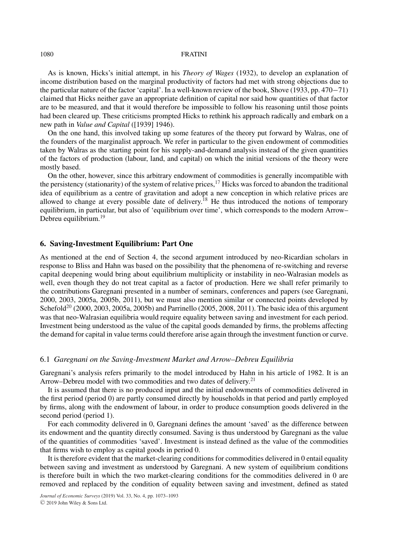As is known, Hicks's initial attempt, in his *Theory of Wages* (1932), to develop an explanation of income distribution based on the marginal productivity of factors had met with strong objections due to the particular nature of the factor 'capital'. In a well-known review of the book, Shove (1933, pp. 470−71) claimed that Hicks neither gave an appropriate definition of capital nor said how quantities of that factor are to be measured, and that it would therefore be impossible to follow his reasoning until those points had been cleared up. These criticisms prompted Hicks to rethink his approach radically and embark on a new path in *Value and Capital* ([1939] 1946).

On the one hand, this involved taking up some features of the theory put forward by Walras, one of the founders of the marginalist approach. We refer in particular to the given endowment of commodities taken by Walras as the starting point for his supply-and-demand analysis instead of the given quantities of the factors of production (labour, land, and capital) on which the initial versions of the theory were mostly based.

On the other, however, since this arbitrary endowment of commodities is generally incompatible with the persistency (stationarity) of the system of relative prices,<sup>17</sup> Hicks was forced to abandon the traditional idea of equilibrium as a centre of gravitation and adopt a new conception in which relative prices are allowed to change at every possible date of delivery.<sup>18</sup> He thus introduced the notions of temporary equilibrium, in particular, but also of 'equilibrium over time', which corresponds to the modern Arrow– Debreu equilibrium.<sup>19</sup>

# **6. Saving-Investment Equilibrium: Part One**

As mentioned at the end of Section 4, the second argument introduced by neo-Ricardian scholars in response to Bliss and Hahn was based on the possibility that the phenomena of re-switching and reverse capital deepening would bring about equilibrium multiplicity or instability in neo-Walrasian models as well, even though they do not treat capital as a factor of production. Here we shall refer primarily to the contributions Garegnani presented in a number of seminars, conferences and papers (see Garegnani, 2000, 2003, 2005a, 2005b, 2011), but we must also mention similar or connected points developed by Schefold<sup>20</sup> (2000, 2003, 2005a, 2005b) and Parrinello (2005, 2008, 2011). The basic idea of this argument was that neo-Walrasian equilibria would require equality between saving and investment for each period. Investment being understood as the value of the capital goods demanded by firms, the problems affecting the demand for capital in value terms could therefore arise again through the investment function or curve.

# 6.1 *Garegnani on the Saving-Investment Market and Arrow–Debreu Equilibria*

Garegnani's analysis refers primarily to the model introduced by Hahn in his article of 1982. It is an Arrow–Debreu model with two commodities and two dates of delivery.<sup>21</sup>

It is assumed that there is no produced input and the initial endowments of commodities delivered in the first period (period 0) are partly consumed directly by households in that period and partly employed by firms, along with the endowment of labour, in order to produce consumption goods delivered in the second period (period 1).

For each commodity delivered in 0, Garegnani defines the amount 'saved' as the difference between its endowment and the quantity directly consumed. Saving is thus understood by Garegnani as the value of the quantities of commodities 'saved'. Investment is instead defined as the value of the commodities that firms wish to employ as capital goods in period 0.

It is therefore evident that the market-clearing conditions for commodities delivered in 0 entail equality between saving and investment as understood by Garegnani. A new system of equilibrium conditions is therefore built in which the two market-clearing conditions for the commodities delivered in 0 are removed and replaced by the condition of equality between saving and investment, defined as stated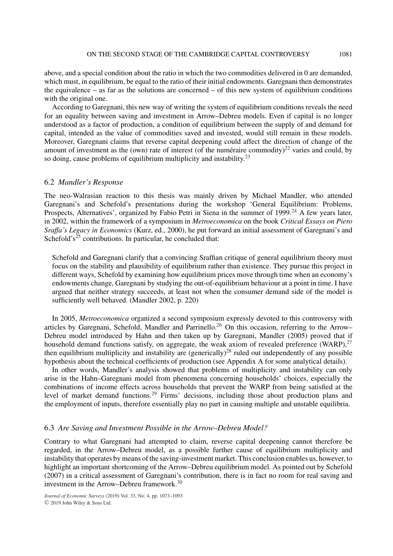above, and a special condition about the ratio in which the two commodities delivered in 0 are demanded, which must, in equilibrium, be equal to the ratio of their initial endowments. Garegnani then demonstrates the equivalence – as far as the solutions are concerned – of this new system of equilibrium conditions with the original one.

According to Garegnani, this new way of writing the system of equilibrium conditions reveals the need for an equality between saving and investment in Arrow–Debreu models. Even if capital is no longer understood as a factor of production, a condition of equilibrium between the supply of and demand for capital, intended as the value of commodities saved and invested, would still remain in these models. Moreover, Garegnani claims that reverse capital deepening could affect the direction of change of the amount of investment as the (own) rate of interest (of the numéraire commodity)<sup>22</sup> varies and could, by so doing, cause problems of equilibrium multiplicity and instability.<sup>23</sup>

#### 6.2 *Mandler's Response*

The neo-Walrasian reaction to this thesis was mainly driven by Michael Mandler, who attended Garegnani's and Schefold's presentations during the workshop 'General Equilibrium: Problems, Prospects, Alternatives', organized by Fabio Petri in Siena in the summer of 1999.<sup>24</sup> A few years later, in 2002, within the framework of a symposium in *Metroeconomica* on the book *Critical Essays on Piero Sraffa's Legacy in Economics* (Kurz, ed., 2000), he put forward an initial assessment of Garegnani's and Schefold's<sup>25</sup> contributions. In particular, he concluded that:

Schefold and Garegnani clarify that a convincing Sraffian critique of general equilibrium theory must focus on the stability and plausibility of equilibrium rather than existence. They pursue this project in different ways, Schefold by examining how equilibrium prices move through time when an economy's endowments change, Garegnani by studying the out-of-equilibrium behaviour at a point in time. I have argued that neither strategy succeeds, at least not when the consumer demand side of the model is sufficiently well behaved. (Mandler 2002, p. 220)

In 2005, *Metroeconomica* organized a second symposium expressly devoted to this controversy with articles by Garegnani, Schefold, Mandler and Parrinello.<sup>26</sup> On this occasion, referring to the Arrow-Debreu model introduced by Hahn and then taken up by Garegnani, Mandler (2005) proved that if household demand functions satisfy, on aggregate, the weak axiom of revealed preference (WARP),  $27$ then equilibrium multiplicity and instability are (generically)<sup>28</sup> ruled out independently of any possible hypothesis about the technical coefficients of production (see Appendix A for some analytical details).

In other words, Mandler's analysis showed that problems of multiplicity and instability can only arise in the Hahn–Garegnani model from phenomena concerning households' choices, especially the combinations of income effects across households that prevent the WARP from being satisfied at the level of market demand functions.<sup>29</sup> Firms' decisions, including those about production plans and the employment of inputs, therefore essentially play no part in causing multiple and unstable equilibria.

#### 6.3 *Are Saving and Investment Possible in the Arrow–Debreu Model?*

Contrary to what Garegnani had attempted to claim, reverse capital deepening cannot therefore be regarded, in the Arrow–Debreu model, as a possible further cause of equilibrium multiplicity and instability that operates by means of the saving-investment market. This conclusion enables us, however, to highlight an important shortcoming of the Arrow–Debreu equilibrium model. As pointed out by Schefold (2007) in a critical assessment of Garegnani's contribution, there is in fact no room for real saving and investment in the Arrow–Debreu framework.<sup>30</sup>

*Journal of Economic Surveys* (2019) Vol. 33, No. 4, pp. 1073–1093  $© 2019$  John Wiley & Sons Ltd.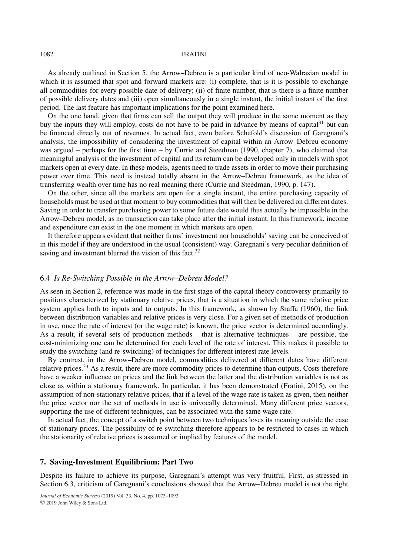As already outlined in Section 5, the Arrow–Debreu is a particular kind of neo-Walrasian model in which it is assumed that spot and forward markets are: (i) complete, that is it is possible to exchange all commodities for every possible date of delivery; (ii) of finite number, that is there is a finite number of possible delivery dates and (iii) open simultaneously in a single instant, the initial instant of the first period. The last feature has important implications for the point examined here.

On the one hand, given that firms can sell the output they will produce in the same moment as they buy the inputs they will employ, costs do not have to be paid in advance by means of capital<sup>31</sup> but can be financed directly out of revenues. In actual fact, even before Schefold's discussion of Garegnani's analysis, the impossibility of considering the investment of capital within an Arrow–Debreu economy was argued – perhaps for the first time – by Currie and Steedman (1990, chapter 7), who claimed that meaningful analysis of the investment of capital and its return can be developed only in models with spot markets open at every date. In these models, agents need to trade assets in order to move their purchasing power over time. This need is instead totally absent in the Arrow–Debreu framework, as the idea of transferring wealth over time has no real meaning there (Currie and Steedman, 1990, p. 147).

On the other, since all the markets are open for a single instant, the entire purchasing capacity of households must be used at that moment to buy commodities that will then be delivered on different dates. Saving in order to transfer purchasing power to some future date would thus actually be impossible in the Arrow–Debreu model, as no transaction can take place after the initial instant. In this framework, income and expenditure can exist in the one moment in which markets are open.

It therefore appears evident that neither firms' investment nor households' saving can be conceived of in this model if they are understood in the usual (consistent) way. Garegnani's very peculiar definition of saving and investment blurred the vision of this fact. $32$ 

# 6.4 *Is Re-Switching Possible in the Arrow–Debreu Model?*

As seen in Section 2, reference was made in the first stage of the capital theory controversy primarily to positions characterized by stationary relative prices, that is a situation in which the same relative price system applies both to inputs and to outputs. In this framework, as shown by Sraffa (1960), the link between distribution variables and relative prices is very close. For a given set of methods of production in use, once the rate of interest (or the wage rate) is known, the price vector is determined accordingly. As a result, if several sets of production methods – that is alternative techniques – are possible, the cost-minimizing one can be determined for each level of the rate of interest. This makes it possible to study the switching (and re-switching) of techniques for different interest rate levels.

By contrast, in the Arrow–Debreu model, commodities delivered at different dates have different relative prices.<sup>33</sup> As a result, there are more commodity prices to determine than outputs. Costs therefore have a weaker influence on prices and the link between the latter and the distribution variables is not as close as within a stationary framework. In particular, it has been demonstrated (Fratini, 2015), on the assumption of non-stationary relative prices, that if a level of the wage rate is taken as given, then neither the price vector nor the set of methods in use is univocally determined. Many different price vectors, supporting the use of different techniques, can be associated with the same wage rate.

In actual fact, the concept of a switch point between two techniques loses its meaning outside the case of stationary prices. The possibility of re-switching therefore appears to be restricted to cases in which the stationarity of relative prices is assumed or implied by features of the model.

# **7. Saving-Investment Equilibrium: Part Two**

Despite its failure to achieve its purpose, Garegnani's attempt was very fruitful. First, as stressed in Section 6.3, criticism of Garegnani's conclusions showed that the Arrow–Debreu model is not the right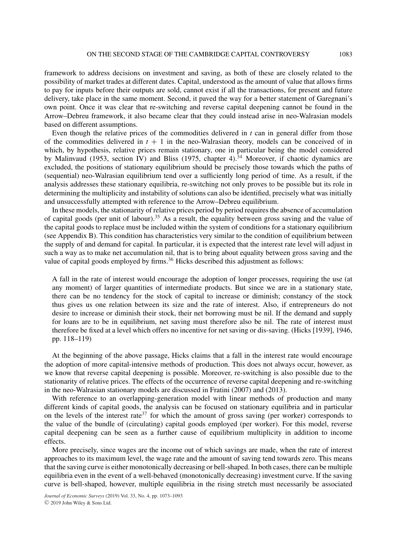framework to address decisions on investment and saving, as both of these are closely related to the possibility of market trades at different dates. Capital, understood as the amount of value that allows firms to pay for inputs before their outputs are sold, cannot exist if all the transactions, for present and future delivery, take place in the same moment. Second, it paved the way for a better statement of Garegnani's own point. Once it was clear that re-switching and reverse capital deepening cannot be found in the Arrow–Debreu framework, it also became clear that they could instead arise in neo-Walrasian models based on different assumptions.

Even though the relative prices of the commodities delivered in *t* can in general differ from those of the commodities delivered in  $t + 1$  in the neo-Walrasian theory, models can be conceived of in which, by hypothesis, relative prices remain stationary, one in particular being the model considered by Malinvaud (1953, section IV) and Bliss (1975, chapter 4).<sup>34</sup> Moreover, if chaotic dynamics are excluded, the positions of stationary equilibrium should be precisely those towards which the paths of (sequential) neo-Walrasian equilibrium tend over a sufficiently long period of time. As a result, if the analysis addresses these stationary equilibria, re-switching not only proves to be possible but its role in determining the multiplicity and instability of solutions can also be identified, precisely what was initially and unsuccessfully attempted with reference to the Arrow–Debreu equilibrium.

In these models, the stationarity of relative prices period by period requires the absence of accumulation of capital goods (per unit of labour).<sup>35</sup> As a result, the equality between gross saving and the value of the capital goods to replace must be included within the system of conditions for a stationary equilibrium (see Appendix B). This condition has characteristics very similar to the condition of equilibrium between the supply of and demand for capital. In particular, it is expected that the interest rate level will adjust in such a way as to make net accumulation nil, that is to bring about equality between gross saving and the value of capital goods employed by firms.<sup>36</sup> Hicks described this adjustment as follows:

A fall in the rate of interest would encourage the adoption of longer processes, requiring the use (at any moment) of larger quantities of intermediate products. But since we are in a stationary state, there can be no tendency for the stock of capital to increase or diminish; constancy of the stock thus gives us one relation between its size and the rate of interest. Also, if entrepreneurs do not desire to increase or diminish their stock, their net borrowing must be nil. If the demand and supply for loans are to be in equilibrium, net saving must therefore also be nil. The rate of interest must therefore be fixed at a level which offers no incentive for net saving or dis-saving. (Hicks [1939], 1946, pp. 118–119)

At the beginning of the above passage, Hicks claims that a fall in the interest rate would encourage the adoption of more capital-intensive methods of production. This does not always occur, however, as we know that reverse capital deepening is possible. Moreover, re-switching is also possible due to the stationarity of relative prices. The effects of the occurrence of reverse capital deepening and re-switching in the neo-Walrasian stationary models are discussed in Fratini (2007) and (2013).

With reference to an overlapping-generation model with linear methods of production and many different kinds of capital goods, the analysis can be focused on stationary equilibria and in particular on the levels of the interest rate<sup>37</sup> for which the amount of gross saving (per worker) corresponds to the value of the bundle of (circulating) capital goods employed (per worker). For this model, reverse capital deepening can be seen as a further cause of equilibrium multiplicity in addition to income effects.

More precisely, since wages are the income out of which savings are made, when the rate of interest approaches to its maximum level, the wage rate and the amount of saving tend towards zero. This means that the saving curve is either monotonically decreasing or bell-shaped. In both cases, there can be multiple equilibria even in the event of a well-behaved (monotonically decreasing) investment curve. If the saving curve is bell-shaped, however, multiple equilibria in the rising stretch must necessarily be associated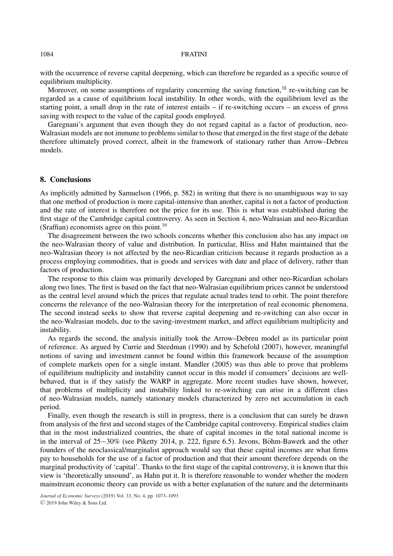with the occurrence of reverse capital deepening, which can therefore be regarded as a specific source of equilibrium multiplicity.

Moreover, on some assumptions of regularity concerning the saving function,  $38$  re-switching can be regarded as a cause of equilibrium local instability. In other words, with the equilibrium level as the starting point, a small drop in the rate of interest entails – if re-switching occurs – an excess of gross saving with respect to the value of the capital goods employed.

Garegnani's argument that even though they do not regard capital as a factor of production, neo-Walrasian models are not immune to problems similar to those that emerged in the first stage of the debate therefore ultimately proved correct, albeit in the framework of stationary rather than Arrow–Debreu models.

# **8. Conclusions**

As implicitly admitted by Samuelson (1966, p. 582) in writing that there is no unambiguous way to say that one method of production is more capital-intensive than another, capital is not a factor of production and the rate of interest is therefore not the price for its use. This is what was established during the first stage of the Cambridge capital controversy. As seen in Section 4, neo-Walrasian and neo-Ricardian (Sraffian) economists agree on this point. $39$ 

The disagreement between the two schools concerns whether this conclusion also has any impact on the neo-Walrasian theory of value and distribution. In particular, Bliss and Hahn maintained that the neo-Walrasian theory is not affected by the neo-Ricardian criticism because it regards production as a process employing commodities, that is goods and services with date and place of delivery, rather than factors of production.

The response to this claim was primarily developed by Garegnani and other neo-Ricardian scholars along two lines. The first is based on the fact that neo-Walrasian equilibrium prices cannot be understood as the central level around which the prices that regulate actual trades tend to orbit. The point therefore concerns the relevance of the neo-Walrasian theory for the interpretation of real economic phenomena. The second instead seeks to show that reverse capital deepening and re-switching can also occur in the neo-Walrasian models, due to the saving-investment market, and affect equilibrium multiplicity and instability.

As regards the second, the analysis initially took the Arrow–Debreu model as its particular point of reference. As argued by Currie and Steedman (1990) and by Schefold (2007), however, meaningful notions of saving and investment cannot be found within this framework because of the assumption of complete markets open for a single instant. Mandler (2005) was thus able to prove that problems of equilibrium multiplicity and instability cannot occur in this model if consumers' decisions are wellbehaved, that is if they satisfy the WARP in aggregate. More recent studies have shown, however, that problems of multiplicity and instability linked to re-switching can arise in a different class of neo-Walrasian models, namely stationary models characterized by zero net accumulation in each period.

Finally, even though the research is still in progress, there is a conclusion that can surely be drawn from analysis of the first and second stages of the Cambridge capital controversy. Empirical studies claim that in the most industrialized countries, the share of capital incomes in the total national income is in the interval of 25−30% (see Piketty 2014, p. 222, figure 6.5). Jevons, Böhm-Bawerk and the other founders of the neoclassical/marginalist approach would say that these capital incomes are what firms pay to households for the use of a factor of production and that their amount therefore depends on the marginal productivity of 'capital'. Thanks to the first stage of the capital controversy, it is known that this view is 'theoretically unsound', as Hahn put it. It is therefore reasonable to wonder whether the modern mainstream economic theory can provide us with a better explanation of the nature and the determinants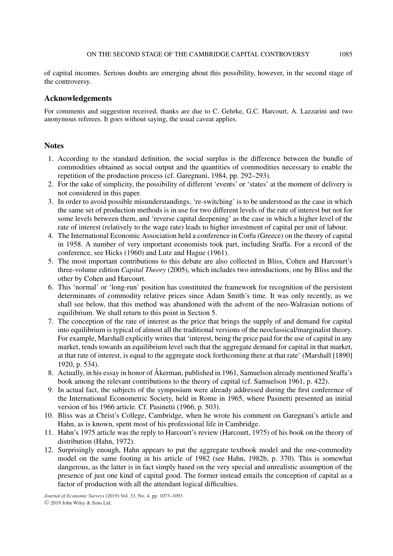# ON THE SECOND STAGE OF THE CAMBRIDGE CAPITAL CONTROVERSY 1085

of capital incomes. Serious doubts are emerging about this possibility, however, in the second stage of the controversy.

# **Acknowledgements**

For comments and suggestion received, thanks are due to C. Gehrke, G.C. Harcourt, A. Lazzarini and two anonymous referees. It goes without saying, the usual caveat applies.

# **Notes**

- 1. According to the standard definition, the social surplus is the difference between the bundle of commodities obtained as social output and the quantities of commodities necessary to enable the repetition of the production process (cf. Garegnani, 1984, pp. 292–293).
- 2. For the sake of simplicity, the possibility of different 'events' or 'states' at the moment of delivery is not considered in this paper.
- 3. In order to avoid possible misunderstandings, 're-switching' is to be understood as the case in which the same set of production methods is in use for two different levels of the rate of interest but not for some levels between them, and 'reverse capital deepening' as the case in which a higher level of the rate of interest (relatively to the wage rate) leads to higher investment of capital per unit of labour.
- 4. The International Economic Association held a conference in Corfu (Greece) on the theory of capital in 1958. A number of very important economists took part, including Sraffa. For a record of the conference, see Hicks (1960) and Lutz and Hague (1961).
- 5. The most important contributions to this debate are also collected in Bliss, Cohen and Harcourt's three-volume edition *Capital Theory* (2005), which includes two introductions, one by Bliss and the other by Cohen and Harcourt.
- 6. This 'normal' or 'long-run' position has constituted the framework for recognition of the persistent determinants of commodity relative prices since Adam Smith's time. It was only recently, as we shall see below, that this method was abandoned with the advent of the neo-Walrasian notions of equilibrium. We shall return to this point in Section 5.
- 7. The conception of the rate of interest as the price that brings the supply of and demand for capital into equilibrium is typical of almost all the traditional versions of the neoclassical/marginalist theory. For example, Marshall explicitly writes that 'interest, being the price paid for the use of capital in any market, tends towards an equilibrium level such that the aggregate demand for capital in that market, at that rate of interest, is equal to the aggregate stock forthcoming there at that rate' (Marshall [1890] 1920, p. 534).
- 8. Actually, in his essay in honor of Åkerman, published in 1961, Samuelson already mentioned Sraffa's book among the relevant contributions to the theory of capital (cf. Samuelson 1961, p. 422).
- 9. In actual fact, the subjects of the symposium were already addressed during the first conference of the International Econometric Society, held in Rome in 1965, where Pasinetti presented an initial version of his 1966 article. Cf. Pasinetti (1966, p. 503).
- 10. Bliss was at Christ's College, Cambridge, when he wrote his comment on Garegnani's article and Hahn, as is known, spent most of his professional life in Cambridge.
- 11. Hahn's 1975 article was the reply to Harcourt's review (Harcourt, 1975) of his book on the theory of distribution (Hahn, 1972).
- 12. Surprisingly enough, Hahn appears to put the aggregate textbook model and the one-commodity model on the same footing in his article of 1982 (see Hahn, 1982b, p. 370). This is somewhat dangerous, as the latter is in fact simply based on the very special and unrealistic assumption of the presence of just one kind of capital good. The former instead entails the conception of capital as a factor of production with all the attendant logical difficulties.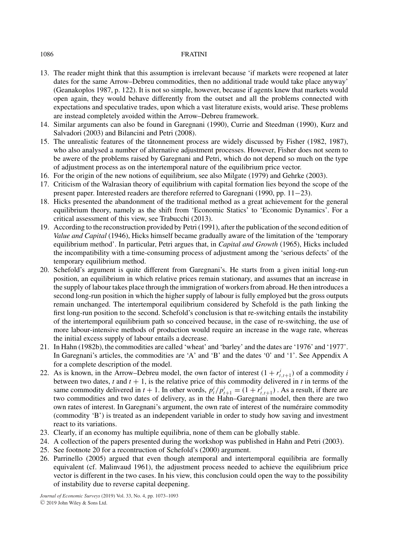- 13. The reader might think that this assumption is irrelevant because 'if markets were reopened at later dates for the same Arrow–Debreu commodities, then no additional trade would take place anyway' (Geanakoplos 1987, p. 122). It is not so simple, however, because if agents knew that markets would open again, they would behave differently from the outset and all the problems connected with expectations and speculative trades, upon which a vast literature exists, would arise. These problems are instead completely avoided within the Arrow–Debreu framework.
- 14. Similar arguments can also be found in Garegnani (1990), Currie and Steedman (1990), Kurz and Salvadori (2003) and Bilancini and Petri (2008).
- 15. The unrealistic features of the tâtonnement process are widely discussed by Fisher (1982, 1987), who also analysed a number of alternative adjustment processes. However, Fisher does not seem to be awere of the problems raised by Garegnani and Petri, which do not depend so much on the type of adjustment process as on the intertemporal nature of the equilibrium price vector.
- 16. For the origin of the new notions of equilibrium, see also Milgate (1979) and Gehrke (2003).
- 17. Criticism of the Walrasian theory of equilibrium with capital formation lies beyond the scope of the present paper. Interested readers are therefore referred to Garegnani (1990, pp. 11−23).
- 18. Hicks presented the abandonment of the traditional method as a great achievement for the general equilibrium theory, namely as the shift from 'Economic Statics' to 'Economic Dynamics'. For a critical assessment of this view, see Trabucchi (2013).
- 19. According to the reconstruction provided by Petri (1991), after the publication of the second edition of *Value and Capital* (1946), Hicks himself became gradually aware of the limitation of the 'temporary equilibrium method'. In particular, Petri argues that, in *Capital and Growth* (1965), Hicks included the incompatibility with a time-consuming process of adjustment among the 'serious defects' of the temporary equilibrium method.
- 20. Schefold's argument is quite different from Garegnani's. He starts from a given initial long-run position, an equilibrium in which relative prices remain stationary, and assumes that an increase in the supply of labour takes place through the immigration of workers from abroad. He then introduces a second long-run position in which the higher supply of labour is fully employed but the gross outputs remain unchanged. The intertemporal equilibrium considered by Schefold is the path linking the first long-run position to the second. Schefold's conclusion is that re-switching entails the instability of the intertemporal equilibrium path so conceived because, in the case of re-switching, the use of more labour-intensive methods of production would require an increase in the wage rate, whereas the initial excess supply of labour entails a decrease.
- 21. In Hahn (1982b), the commodities are called 'wheat' and 'barley' and the dates are '1976' and '1977'. In Garegnani's articles, the commodities are 'A' and 'B' and the dates '0' and '1'. See Appendix A for a complete description of the model.
- 22. As is known, in the Arrow–Debreu model, the own factor of interest  $(1 + r^i_{t,t+1})$  of a commodity *i* between two dates,  $t$  and  $t + 1$ , is the relative price of this commodity delivered in  $t$  in terms of the same commodity delivered in  $t + 1$ . In other words,  $p_t^i / p_{t+1}^i = (1 + r_{t,t+1}^i)$ . As a result, if there are two commodities and two dates of delivery, as in the Hahn–Garegnani model, then there are two own rates of interest. In Garegnani's argument, the own rate of interest of the numéraire commodity (commodity 'B') is treated as an independent variable in order to study how saving and investment react to its variations.
- 23. Clearly, if an economy has multiple equilibria, none of them can be globally stable.
- 24. A collection of the papers presented during the workshop was published in Hahn and Petri (2003).
- 25. See footnote 20 for a recontruction of Schefold's (2000) argument.
- 26. Parrinello (2005) argued that even though atemporal and intertemporal equilibria are formally equivalent (cf. Malinvaud 1961), the adjustment process needed to achieve the equilibrium price vector is different in the two cases. In his view, this conclusion could open the way to the possibility of instability due to reverse capital deepening.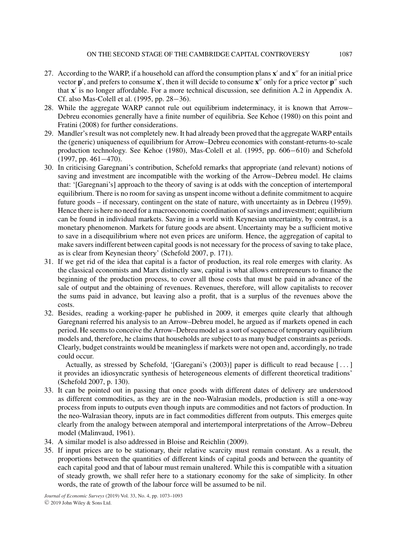- 27. According to the WARP, if a household can afford the consumption plans  $\mathbf{x}'$  and  $\mathbf{x}''$  for an initial price vector  $\mathbf{p}'$ , and prefers to consume  $\mathbf{x}'$ , then it will decide to consume  $\mathbf{x}''$  only for a price vector  $\mathbf{p}''$  such that  $\mathbf{x}'$  is no longer affordable. For a more technical discussion, see definition A.2 in Appendix A. Cf. also Mas-Colell et al. (1995, pp. 28−36).
- 28. While the aggregate WARP cannot rule out equilibrium indeterminacy, it is known that Arrow– Debreu economies generally have a finite number of equilibria. See Kehoe (1980) on this point and Fratini (2008) for further considerations.
- 29. Mandler's result was not completely new. It had already been proved that the aggregate WARP entails the (generic) uniqueness of equilibrium for Arrow–Debreu economies with constant-returns-to-scale production technology. See Kehoe (1980), Mas-Colell et al. (1995, pp. 606−610) and Schefold (1997, pp. 461−470).
- 30. In criticising Garegnani's contribution, Schefold remarks that appropriate (and relevant) notions of saving and investment are incompatible with the working of the Arrow–Debreu model. He claims that: '[Garegnani's] approach to the theory of saving is at odds with the conception of intertemporal equilibrium. There is no room for saving as unspent income without a definite commitment to acquire future goods – if necessary, contingent on the state of nature, with uncertainty as in Debreu (1959). Hence there is here no need for a macroeconomic coordination of savings and investment; equilibrium can be found in individual markets. Saving in a world with Keynesian uncertainty, by contrast, is a monetary phenomenon. Markets for future goods are absent. Uncertainty may be a sufficient motive to save in a disequilibrium where not even prices are uniform. Hence, the aggregation of capital to make savers indifferent between capital goods is not necessary for the process of saving to take place, as is clear from Keynesian theory' (Schefold 2007, p. 171).
- 31. If we get rid of the idea that capital is a factor of production, its real role emerges with clarity. As the classical economists and Marx distinctly saw, capital is what allows entrepreneurs to finance the beginning of the production process, to cover all those costs that must be paid in advance of the sale of output and the obtaining of revenues. Revenues, therefore, will allow capitalists to recover the sums paid in advance, but leaving also a profit, that is a surplus of the revenues above the costs.
- 32. Besides, reading a working-paper he published in 2009, it emerges quite clearly that although Garegnani referred his analysis to an Arrow–Debreu model, he argued as if markets opened in each period. He seems to conceive the Arrow–Debreu model as a sort of sequence of temporary equilibrium models and, therefore, he claims that households are subject to as many budget constraints as periods. Clearly, budget constraints would be meaningless if markets were not open and, accordingly, no trade could occur.

Actually, as stressed by Schefold, '[Garegani's (2003)] paper is difficult to read because [...] it provides an idiosyncratic synthesis of heterogeneous elements of different theoretical traditions' (Schefold 2007, p. 130).

- 33. It can be pointed out in passing that once goods with different dates of delivery are understood as different commodities, as they are in the neo-Walrasian models, production is still a one-way process from inputs to outputs even though inputs are commodities and not factors of production. In the neo-Walrasian theory, inputs are in fact commodities different from outputs. This emerges quite clearly from the analogy between atemporal and intertemporal interpretations of the Arrow–Debreu model (Malinvaud, 1961).
- 34. A similar model is also addressed in Bloise and Reichlin (2009).
- 35. If input prices are to be stationary, their relative scarcity must remain constant. As a result, the proportions between the quantities of different kinds of capital goods and between the quantity of each capital good and that of labour must remain unaltered. While this is compatible with a situation of steady growth, we shall refer here to a stationary economy for the sake of simplicity. In other words, the rate of growth of the labour force will be assumed to be nil.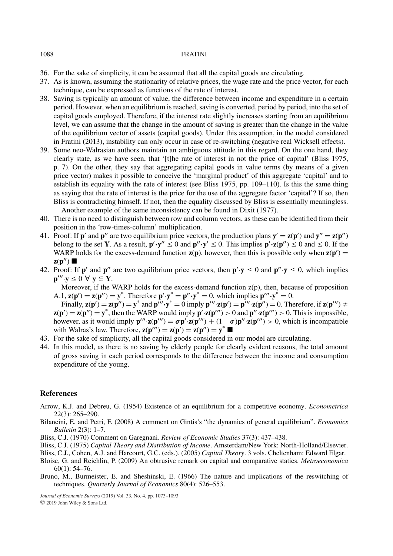- 36. For the sake of simplicity, it can be assumed that all the capital goods are circulating.
- 37. As is known, assuming the stationarity of relative prices, the wage rate and the price vector, for each technique, can be expressed as functions of the rate of interest.
- 38. Saving is typically an amount of value, the difference between income and expenditure in a certain period. However, when an equilibrium is reached, saving is converted, period by period, into the set of capital goods employed. Therefore, if the interest rate slightly increases starting from an equilibrium level, we can assume that the change in the amount of saving is greater than the change in the value of the equilibrium vector of assets (capital goods). Under this assumption, in the model considered in Fratini (2013), instability can only occur in case of re-switching (negative real Wicksell effects).
- 39. Some neo-Walrasian authors maintain an ambiguous attitude in this regard. On the one hand, they clearly state, as we have seen, that '[t]he rate of interest in not the price of capital' (Bliss 1975, p. 7). On the other, they say that aggregating capital goods in value terms (by means of a given price vector) makes it possible to conceive the 'marginal product' of this aggregate 'capital' and to establish its equality with the rate of interest (see Bliss 1975, pp. 109–110). Is this the same thing as saying that the rate of interest is the price for the use of the aggregate factor 'capital'? If so, then Bliss is contradicting himself. If not, then the equality discussed by Bliss is essentially meaningless. Another example of the same inconsistency can be found in Dixit (1977).
- 40. There is no need to distinguish between row and column vectors, as these can be identified from their position in the 'row-times-column' multiplication.
- 41. Proof: If **p**' and **p**" are two equilibrium price vectors, the production plans  $\mathbf{y}' = \mathbf{z}(\mathbf{p}')$  and  $\mathbf{y}'' = \mathbf{z}(\mathbf{p}'')$ belong to the set **Y**. As a result,  $\mathbf{p}' \cdot \mathbf{y}'' \le 0$  and  $\mathbf{p}'' \cdot \mathbf{y}' \le 0$ . This implies  $\mathbf{p}' \cdot \mathbf{z}(\mathbf{p}'') \le 0$  and  $\le 0$ . If the WARP holds for the excess-demand function  $\mathbf{z}(\mathbf{p})$ , however, then this is possible only when  $\mathbf{z}(\mathbf{p}') =$  $z(p'')$   $\blacksquare$
- 42. Proof: If **p**' and **p**'' are two equilibrium price vectors, then  $\mathbf{p}' \cdot \mathbf{y} \le 0$  and  $\mathbf{p}'' \cdot \mathbf{y} \le 0$ , which implies  $\mathbf{p}'' \cdot \mathbf{y} \leq 0 \ \forall \mathbf{y} \in \mathbf{Y}.$ 
	- Moreover, if the WARP holds for the excess-demand function  $z(p)$ , then, because of proposition A.1,  $\mathbf{z}(\mathbf{p}') = \mathbf{z}(\mathbf{p}'') = \mathbf{y}^*$ . Therefore  $\mathbf{p}' \cdot \mathbf{y}^* = \mathbf{p}'' \cdot \mathbf{y}^* = 0$ , which implies  $\mathbf{p}''' \cdot \mathbf{y}^* = 0$ .

Finally,  $\mathbf{z}(\mathbf{p}') = \mathbf{z}(\mathbf{p}'') = \mathbf{y}^*$  and  $\mathbf{p}''' \cdot \mathbf{y}^* = 0$  imply  $\mathbf{p}''' \cdot \mathbf{z}(\mathbf{p}') = \mathbf{p}''' \cdot \mathbf{z}(\mathbf{p}'') = 0$ . Therefore, if  $\mathbf{z}(\mathbf{p}''') =$  $z(\mathbf{p}') = z(\mathbf{p}'') = \mathbf{y}^*$ , then the WARP would imply  $\mathbf{p}' \cdot z(\mathbf{p}''') > 0$  and  $\mathbf{p}'' \cdot z(\mathbf{p}''') > 0$ . This is impossible, however, as it would imply  $\mathbf{p}'' \cdot \mathbf{z}(\mathbf{p}''') = \sigma \mathbf{p}' \cdot \mathbf{z}(\mathbf{p}''') + (1 - \sigma) \mathbf{p}'' \cdot \mathbf{z}(\mathbf{p}''') > 0$ , which is incompatible with Walras's law. Therefore,  $\mathbf{z}(\mathbf{p}^{\'\prime\prime}) = \mathbf{z}(\mathbf{p}^{\prime\prime}) = \mathbf{z}(\mathbf{p}^{\prime\prime}) = \mathbf{y}^*$ 

- 43. For the sake of simplicity, all the capital goods considered in our model are circulating.
- 44. In this model, as there is no saving by elderly people for clearly evident reasons, the total amount of gross saving in each period corresponds to the difference between the income and consumption expenditure of the young.

# **References**

- Arrow, K.J. and Debreu, G. (1954) Existence of an equilibrium for a competitive economy. *Econometrica* 22(3): 265–290.
- Bilancini, E. and Petri, F. (2008) A comment on Gintis's "the dynamics of general equilibrium". *Economics Bulletin* 2(3): 1–7.
- Bliss, C.J. (1970) Comment on Garegnani. *Review of Economic Studies* 37(3): 437–438.
- Bliss, C.J. (1975) *Capital Theory and Distribution of Income*. Amsterdam/New York: North-Holland/Elsevier.
- Bliss, C.J., Cohen, A.J. and Harcourt, G.C. (eds.). (2005) *Capital Theory*. 3 vols. Cheltenham: Edward Elgar.
- Bloise, G. and Reichlin, P. (2009) An obtrusive remark on capital and comparative statics. *Metroeconomica* 60(1): 54–76.
- Bruno, M., Burmeister, E. and Sheshinski, E. (1966) The nature and implications of the reswitching of techniques. *Quarterly Journal of Economics* 80(4): 526–553.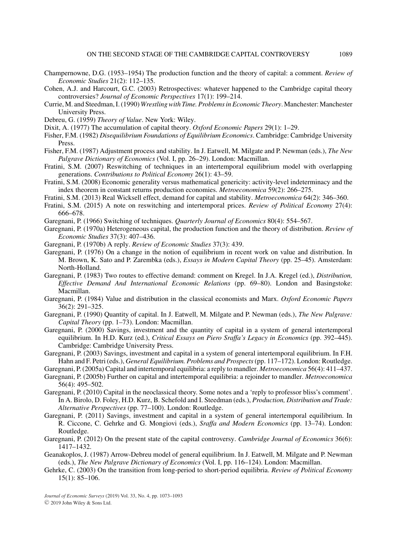- Champernowne, D.G. (1953–1954) The production function and the theory of capital: a comment. *Review of Economic Studies* 21(2): 112–135.
- Cohen, A.J. and Harcourt, G.C. (2003) Retrospectives: whatever happened to the Cambridge capital theory controversies? *Journal of Economic Perspectives* 17(1): 199–214.
- Currie, M. and Steedman, I. (1990) *Wrestling with Time. Problems in Economic Theory*. Manchester: Manchester University Press.
- Debreu, G. (1959) *Theory of Value*. New York: Wiley.
- Dixit, A. (1977) The accumulation of capital theory. *Oxford Economic Papers* 29(1): 1–29.
- Fisher, F.M. (1982) *Disequilibrium Foundations of Equilibrium Economics*. Cambridge: Cambridge University Press.
- Fisher, F.M. (1987) Adjustment process and stability. In J. Eatwell, M. Milgate and P. Newman (eds.), *The New Palgrave Dictionary of Economics* (Vol. I, pp. 26–29). London: Macmillan.
- Fratini, S.M. (2007) Reswitching of techniques in an intertemporal equilibrium model with overlapping generations. *Contributions to Political Economy* 26(1): 43–59.
- Fratini, S.M. (2008) Economic generality versus mathematical genericity: activity-level indeterminacy and the index theorem in constant returns production economies. *Metroeconomica* 59(2): 266–275.
- Fratini, S.M. (2013) Real Wicksell effect, demand for capital and stability. *Metroeconomica* 64(2): 346–360.
- Fratini, S.M. (2015) A note on reswitching and intertemporal prices. *Review of Political Economy* 27(4): 666–678.
- Garegnani, P. (1966) Switching of techniques. *Quarterly Journal of Economics* 80(4): 554–567.
- Garegnani, P. (1970a) Heterogeneous capital, the production function and the theory of distribution. *Review of Economic Studies* 37(3): 407–436.
- Garegnani, P. (1970b) A reply. *Review of Economic Studies* 37(3): 439.
- Garegnani, P. (1976) On a change in the notion of equilibrium in recent work on value and distribution. In M. Brown, K. Sato and P. Zarembka (eds.), *Essays in Modern Capital Theory* (pp. 25–45). Amsterdam: North-Holland.
- Garegnani, P. (1983) Two routes to effective demand: comment on Kregel. In J.A. Kregel (ed.), *Distribution, Effective Demand And International Economic Relations* (pp. 69–80). London and Basingstoke: Macmillan.
- Garegnani, P. (1984) Value and distribution in the classical economists and Marx. *Oxford Economic Papers* 36(2): 291–325.
- Garegnani, P. (1990) Quantity of capital. In J. Eatwell, M. Milgate and P. Newman (eds.), *The New Palgrave: Capital Theory* (pp. 1–73). London: Macmillan.
- Garegnani, P. (2000) Savings, investment and the quantity of capital in a system of general intertemporal equilibrium. In H.D. Kurz (ed.), *Critical Essays on Piero Sraffa's Legacy in Economics* (pp. 392–445). Cambridge: Cambridge University Press.
- Garegnani, P. (2003) Savings, investment and capital in a system of general intertemporal equilibrium. In F.H. Hahn and F. Petri (eds.), *General Equilibrium. Problems and Prospects*(pp. 117–172). London: Routledge.
- Garegnani, P. (2005a) Capital and intertemporal equilibria: a reply to mandler. *Metroeconomica* 56(4): 411–437.
- Garegnani, P. (2005b) Further on capital and intertemporal equilibria: a rejoinder to mandler. *Metroeconomica* 56(4): 495–502.
- Garegnani, P. (2010) Capital in the neoclassical theory. Some notes and a 'reply to professor bliss's comment'. In A. Birolo, D. Foley, H.D. Kurz, B. Schefold and I. Steedman (eds.), *Production, Distribution and Trade: Alternative Perspectives* (pp. 77–100). London: Routledge.
- Garegnani, P. (2011) Savings, investment and capital in a system of general intertemporal equilibrium. In R. Ciccone, C. Gehrke and G. Mongiovi (eds.), *Sraffa and Modern Economics* (pp. 13–74). London: Routledge.
- Garegnani, P. (2012) On the present state of the capital controversy. *Cambridge Journal of Economics* 36(6): 1417–1432.
- Geanakoplos, J. (1987) Arrow-Debreu model of general equilibrium. In J. Eatwell, M. Milgate and P. Newman (eds.), *The New Palgrave Dictionary of Economics* (Vol. I, pp. 116–124). London: Macmillan.
- Gehrke, C. (2003) On the transition from long-period to short-period equilibria. *Review of Political Economy* 15(1): 85–106.

*Journal of Economic Surveys* (2019) Vol. 33, No. 4, pp. 1073–1093  $\odot$  2019 John Wiley & Sons Ltd.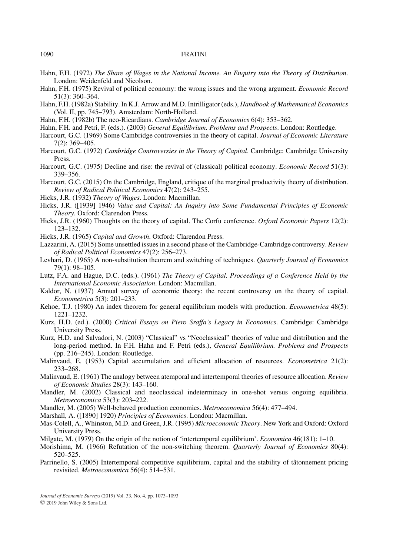Hahn, F.H. (1972) *The Share of Wages in the National Income. An Enquiry into the Theory of Distribution*. London: Weidenfeld and Nicolson.

Hahn, F.H. (1975) Revival of political economy: the wrong issues and the wrong argument. *Economic Record* 51(3): 360–364.

- Hahn, F.H. (1982a) Stability. In K.J. Arrow and M.D. Intrilligator (eds.), *Handbook of Mathematical Economics* (Vol. II, pp. 745–793). Amsterdam: North-Holland.
- Hahn, F.H. (1982b) The neo-Ricardians. *Cambridge Journal of Economics* 6(4): 353–362.
- Hahn, F.H. and Petri, F. (eds.). (2003) *General Equilibrium. Problems and Prospects*. London: Routledge.
- Harcourt, G.C. (1969) Some Cambridge controversies in the theory of capital. *Journal of Economic Literature* 7(2): 369–405.
- Harcourt, G.C. (1972) *Cambridge Controversies in the Theory of Capital*. Cambridge: Cambridge University Press.
- Harcourt, G.C. (1975) Decline and rise: the revival of (classical) political economy. *Economic Record* 51(3): 339–356.
- Harcourt, G.C. (2015) On the Cambridge, England, critique of the marginal productivity theory of distribution. *Review of Radical Political Economics* 47(2): 243–255.
- Hicks, J.R. (1932) *Theory of Wages*. London: Macmillan.
- Hicks, J.R. ([1939] 1946) *Value and Capital: An Inquiry into Some Fundamental Principles of Economic Theory*. Oxford: Clarendon Press.
- Hicks, J.R. (1960) Thoughts on the theory of capital. The Corfu conference. *Oxford Economic Papers* 12(2): 123–132.
- Hicks, J.R. (1965) *Capital and Growth*. Oxford: Clarendon Press.
- Lazzarini, A. (2015) Some unsettled issues in a second phase of the Cambridge-Cambridge controversy. *Review of Radical Political Economics* 47(2): 256–273.
- Levhari, D. (1965) A non-substitution theorem and switching of techniques. *Quarterly Journal of Economics* 79(1): 98–105.
- Lutz, F.A. and Hague, D.C. (eds.). (1961) *The Theory of Capital. Proceedings of a Conference Held by the International Economic Association*. London: Macmillan.
- Kaldor, N. (1937) Annual survey of economic theory: the recent controversy on the theory of capital. *Econometrica* 5(3): 201–233.
- Kehoe, T.J. (1980) An index theorem for general equilibrium models with production. *Econometrica* 48(5): 1221–1232.
- Kurz, H.D. (ed.). (2000) *Critical Essays on Piero Sraffa's Legacy in Economics*. Cambridge: Cambridge University Press.
- Kurz, H.D. and Salvadori, N. (2003) "Classical" vs "Neoclassical" theories of value and distribution and the long-period method. In F.H. Hahn and F. Petri (eds.), *General Equilibrium. Problems and Prospects* (pp. 216–245). London: Routledge.
- Malinvaud, E. (1953) Capital accumulation and efficient allocation of resources. *Econometrica* 21(2): 233–268.
- Malinvaud, E. (1961) The analogy between atemporal and intertemporal theories of resource allocation. *Review of Economic Studies* 28(3): 143–160.
- Mandler, M. (2002) Classical and neoclassical indeterminacy in one-shot versus ongoing equilibria. *Metroeconomica* 53(3): 203–222.
- Mandler, M. (2005) Well-behaved production economies. *Metroeconomica* 56(4): 477–494.
- Marshall, A. ([1890] 1920) *Principles of Economics*. London: Macmillan.
- Mas-Colell, A., Whinston, M.D. and Green, J.R. (1995) *Microeconomic Theory*. New York and Oxford: Oxford University Press.
- Milgate, M. (1979) On the origin of the notion of 'intertemporal equilibrium'. *Economica* 46(181): 1–10.
- Morishima, M. (1966) Refutation of the non-switching theorem. *Quarterly Journal of Economics* 80(4): 520–525.
- Parrinello, S. (2005) Intertemporal competitive equilibrium, capital and the stability of tâtonnement pricing revisited. *Metroeconomica* 56(4): 514–531.

*Journal of Economic Surveys* (2019) Vol. 33, No. 4, pp. 1073–1093  $© 2019$  John Wiley & Sons Ltd.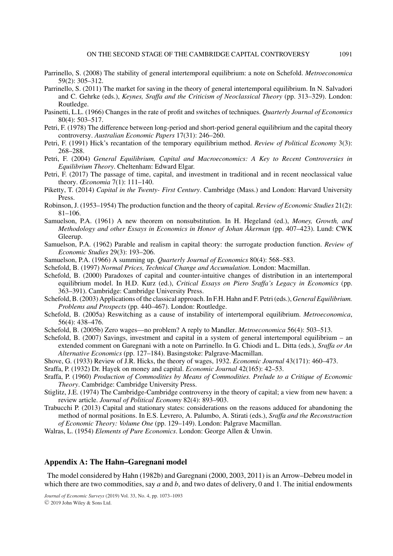- Parrinello, S. (2008) The stability of general intertemporal equilibrium: a note on Schefold. *Metroeconomica* 59(2): 305–312.
- Parrinello, S. (2011) The market for saving in the theory of general intertemporal equilibrium. In N. Salvadori and C. Gehrke (eds.), *Keynes, Sraffa and the Criticism of Neoclassical Theory* (pp. 313–329). London: Routledge.
- Pasinetti, L.L. (1966) Changes in the rate of profit and switches of techniques. *Quarterly Journal of Economics* 80(4): 503–517.
- Petri, F. (1978) The difference between long-period and short-period general equilibrium and the capital theory controversy. *Australian Economic Papers* 17(31): 246–260.
- Petri, F. (1991) Hick's recantation of the temporary equilibrium method. *Review of Political Economy* 3(3): 268–288.
- Petri, F. (2004) *General Equilibrium, Capital and Macroeconomics: A Key to Recent Controversies in Equilibrium Theory*. Cheltenham: Edward Elgar.
- Petri, F. (2017) The passage of time, capital, and investment in traditional and in recent neoclassical value theory. *Œconomia* 7(1): 111–140.
- Piketty, T. (2014) *Capital in the Twenty- First Century*. Cambridge (Mass.) and London: Harvard University Press.
- Robinson, J. (1953–1954) The production function and the theory of capital. *Review of Economic Studies* 21(2): 81–106.
- Samuelson, P.A. (1961) A new theorem on nonsubstitution. In H. Hegeland (ed.), *Money, Growth, and Methodology and other Essays in Economics in Honor of Johan Åkerman (pp. 407–423). Lund: CWK* Gleerup.
- Samuelson, P.A. (1962) Parable and realism in capital theory: the surrogate production function. *Review of Economic Studies* 29(3): 193–206.
- Samuelson, P.A. (1966) A summing up. *Quarterly Journal of Economics* 80(4): 568–583.
- Schefold, B. (1997) *Normal Prices, Technical Change and Accumulation*. London: Macmillan.
- Schefold, B. (2000) Paradoxes of capital and counter-intuitive changes of distribution in an intertemporal equilibrium model. In H.D. Kurz (ed.), *Critical Essays on Piero Sraffa's Legacy in Economics* (pp. 363–391). Cambridge: Cambridge University Press.
- Schefold, B. (2003) Applications of the classical approach. In F.H. Hahn and F. Petri (eds.), *General Equilibrium. Problems and Prospects* (pp. 440–467). London: Routledge.
- Schefold, B. (2005a) Reswitching as a cause of instability of intertemporal equilibrium. *Metroeconomica*, 56(4): 438–476.
- Schefold, B. (2005b) Zero wages—no problem? A reply to Mandler. *Metroeconomica* 56(4): 503–513.
- Schefold, B. (2007) Savings, investment and capital in a system of general intertemporal equilibrium an extended comment on Garegnani with a note on Parrinello. In G. Chiodi and L. Ditta (eds.), *Sraffa or An Alternative Economics* (pp. 127–184). Basingstoke: Palgrave-Macmillan.
- Shove, G. (1933) Review of J.R. Hicks, the theory of wages, 1932. *Economic Journal* 43(171): 460–473.
- Sraffa, P. (1932) Dr. Hayek on money and capital. *Economic Journal* 42(165): 42–53.
- Sraffa, P. (1960) *Production of Commodities by Means of Commodities. Prelude to a Critique of Economic Theory*. Cambridge: Cambridge University Press.
- Stiglitz, J.E. (1974) The Cambridge-Cambridge controversy in the theory of capital; a view from new haven: a review article. *Journal of Political Economy* 82(4): 893–903.
- Trabucchi P. (2013) Capital and stationary states: considerations on the reasons adduced for abandoning the method of normal positions. In E.S. Levrero, A. Palumbo, A. Stirati (eds.), *Sraffa and the Reconstruction of Economic Theory: Volume One* (pp. 129–149). London: Palgrave Macmillan.
- Walras, L. (1954) *Elements of Pure Economics*. London: George Allen & Unwin.

# **Appendix A: The Hahn–Garegnani model**

The model considered by Hahn (1982b) and Garegnani (2000, 2003, 2011) is an Arrow–Debreu model in which there are two commodities, say *a* and *b*, and two dates of delivery, 0 and 1. The initial endowments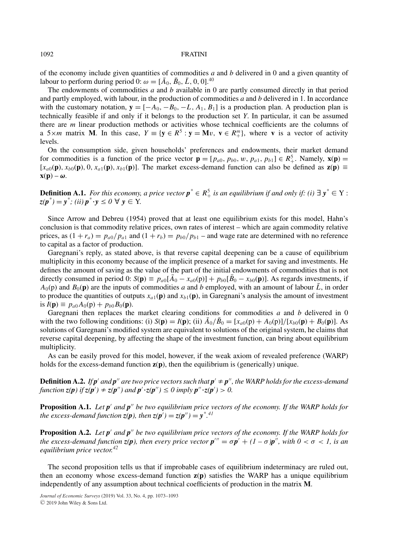of the economy include given quantities of commodities *a* and *b* delivered in 0 and a given quantity of labour to perform during period 0:  $\omega = [\bar{A}_0, \bar{B}_0, \bar{L}, 0, 0]$ .<sup>40</sup>

The endowments of commodities *a* and *b* available in 0 are partly consumed directly in that period and partly employed, with labour, in the production of commodities *a* and *b* delivered in 1. In accordance with the customary notation,  $y = [-A_0, -B_0, -L, A_1, B_1]$  is a production plan. A production plan is technically feasible if and only if it belongs to the production set *Y*. In particular, it can be assumed there are *m* linear production methods or activities whose technical coefficients are the columns of a 5×*m* matrix **M**. In this case,  $Y = \{y \in R^5 : y = Mv, v \in R^m\}$ , where v is a vector of activity levels.

On the consumption side, given households' preferences and endowments, their market demand for commodities is a function of the price vector  $\mathbf{p} = [p_{a0}, p_{b0}, w, p_{a1}, p_{b1}] \in R_+^5$ . Namely,  $\mathbf{x}(\mathbf{p}) =$  $[x_{a0}(\mathbf{p}), x_{b0}(\mathbf{p}), 0, x_{a1}(\mathbf{p}), x_{b1}(\mathbf{p})]$ . The market excess-demand function can also be defined as  $\mathbf{z}(\mathbf{p}) \equiv$  $\mathbf{x}(\mathbf{p}) - \boldsymbol{\omega}.$ 

**Definition A.1.** For this economy, a price vector  $p^* \in R_+^5$  is an equilibrium if and only if: (i)  $\exists y^* \in Y$ :  $z(p^*) = y^*$ ; *(ii)*  $p^* \cdot y \le 0 \ \forall \ y \in Y$ .

Since Arrow and Debreu (1954) proved that at least one equilibrium exists for this model, Hahn's conclusion is that commodity relative prices, own rates of interest – which are again commodity relative prices, as  $(1 + r_a) = p_{a0}/p_{a1}$  and  $(1 + r_b) = p_{b0}/p_{b1}$  – and wage rate are determined with no reference to capital as a factor of production.

Garegnani's reply, as stated above, is that reverse capital deepening can be a cause of equilibrium multiplicity in this economy because of the implicit presence of a market for saving and investments. He defines the amount of saving as the value of the part of the initial endowments of commodities that is not directly consumed in period 0:  $S(\mathbf{p}) \equiv p_{a0}[\bar{A}_0 - x_{a0}(\mathbf{p})] + p_{b0}[\bar{B}_0 - x_{b0}(\mathbf{p})]$ . As regards investments, if  $A_0(p)$  and  $B_0(p)$  are the inputs of commodities *a* and *b* employed, with an amount of labour  $\bar{L}$ , in order to produce the quantities of outputs  $x_{a1}(\mathbf{p})$  and  $x_{b1}(\mathbf{p})$ , in Garegnani's analysis the amount of investment is  $I(\mathbf{p}) \equiv p_{a0}A_0(\mathbf{p}) + p_{b0}B_0(\mathbf{p}).$ 

Garegnani then replaces the market clearing conditions for commodities *a* and *b* delivered in 0 with the two following conditions: (i)  $S(\mathbf{p}) = I(\mathbf{p})$ ; (ii)  $\bar{A}_0/\bar{B}_0 = [x_{a0}(\mathbf{p}) + A_0(\mathbf{p})]/[x_{b0}(\mathbf{p}) + B_0(\mathbf{p})]$ . As solutions of Garegnani's modified system are equivalent to solutions of the original system, he claims that reverse capital deepening, by affecting the shape of the investment function, can bring about equilibrium multiplicity.

As can be easily proved for this model, however, if the weak axiom of revealed preference (WARP) holds for the excess-demand function **z**(**p**), then the equilibrium is (generically) unique.

**Definition A.2.** *If p'* and **p'** are two price vectors such that  $p' \neq p''$ , the WARP holds for the excess-demand function  $z(p)$  if  $z(p') \neq z(p'')$  and  $p' \cdot z(p'') \leq 0$  imply  $p'' \cdot z(p') > 0$ .

**Proposition A.1.** *Let p'* **and <b>p''** be two equilibrium price vectors of the economy. If the WARP holds for *the excess-demand function*  $z(\mathbf{p})$ , then  $z(\mathbf{p}') = z(\mathbf{p}'') = \mathbf{y}^{*,41}$ 

**Proposition A.2.** Let  $p'$  and  $p''$  be two equilibrium price vectors of the economy. If the WARP holds for *the excess-demand function*  $z(p)$ *, then every price vector*  $p''' = \sigma p' + (1 - \sigma)p''$ *, with*  $0 < \sigma < 1$ *, is an equilibrium price vector.42*

The second proposition tells us that if improbable cases of equilibrium indeterminacy are ruled out, then an economy whose excess-demand function **z**(**p**) satisfies the WARP has a unique equilibrium independently of any assumption about technical coefficients of production in the matrix **M**.